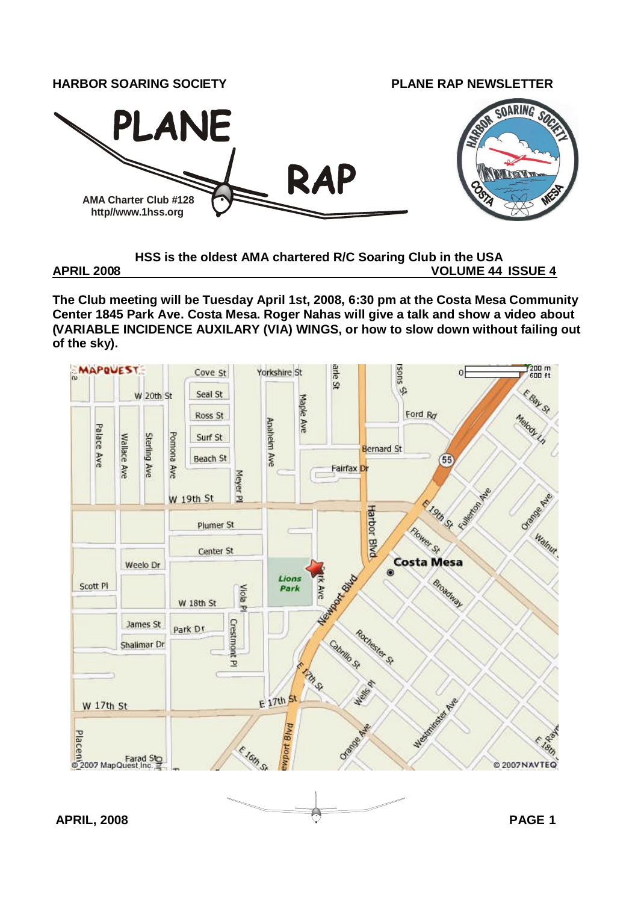

**HSS is the oldest AMA chartered R/C Soaring Club in the USA APRIL 2008 VOLUME 44 ISSUE 4**

**The Club meeting will be Tuesday April 1st, 2008, 6:30 pm at the Costa Mesa Community Center 1845 Park Ave. Costa Mesa. Roger Nahas will give a talk and show a video about (VARIABLE INCIDENCE AUXILARY (VIA) WINGS, or how to slow down without failing out**

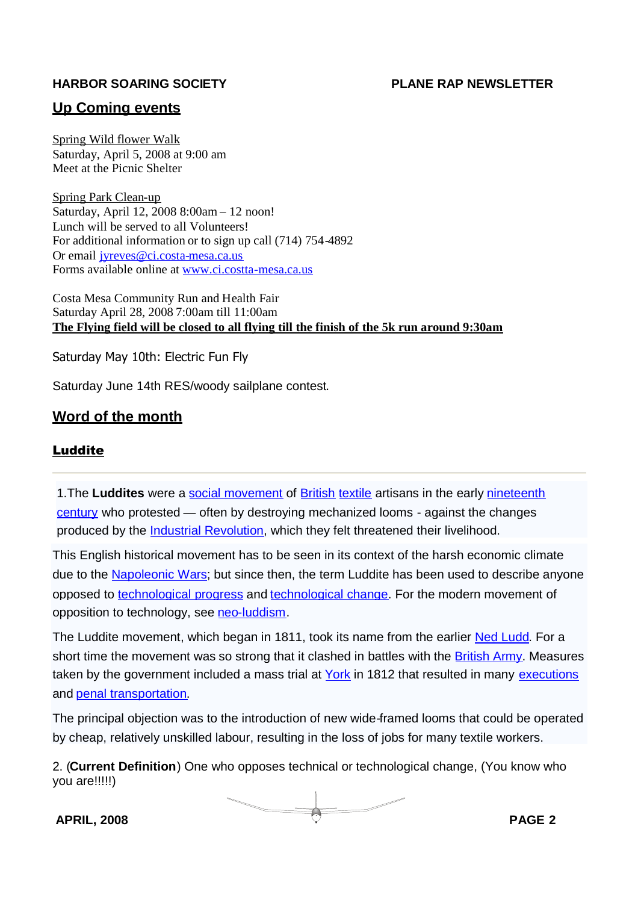#### **Up Coming events**

Spring Wild flower Walk Saturday, April 5, 2008 at 9:00 am Meet at the Picnic Shelter

Spring Park Clean-up Saturday, April 12, 2008 8:00am – 12 noon! Lunch will be served to all Volunteers! For additional information or to sign up call (714) 754-4892 Or email jyreves@ci.costa-mesa.ca.us Forms available online at www.ci.costta-mesa.ca.us

Costa Mesa Community Run and Health Fair Saturday April 28, 2008 7:00am till 11:00am **The Flying field will be closed to all flying till the finish of the 5k run around 9:30am**

Saturday May 10th: Electric Fun Fly

Saturday June 14th RES/woody sailplane contest.

#### **Word of the month**

#### Luddite

1.The **Luddites** were a social movement of British textile artisans in the early nineteenth century who protested — often by destroying mechanized looms - against the changes produced by the *Industrial Revolution*, which they felt threatened their livelihood.

This English historical movement has to be seen in its context of the harsh economic climate due to the Napoleonic Wars; but since then, the term Luddite has been used to describe anyone opposed to technological progress and technological change. For the modern movement of opposition to technology, see neo-luddism.

The Luddite movement, which began in 1811, took its name from the earlier Ned Ludd. For a short time the movement was so strong that it clashed in battles with the British Army. Measures taken by the government included a mass trial at York in 1812 that resulted in many executions and penal transportation.

The principal objection was to the introduction of new wide-framed looms that could be operated by cheap, relatively unskilled labour, resulting in the loss of jobs for many textile workers.

2. (**Current Definition**) One who opposes technical or technological change, (You know who you are!!!!!)

**APRIL, 2008 PAGE 2**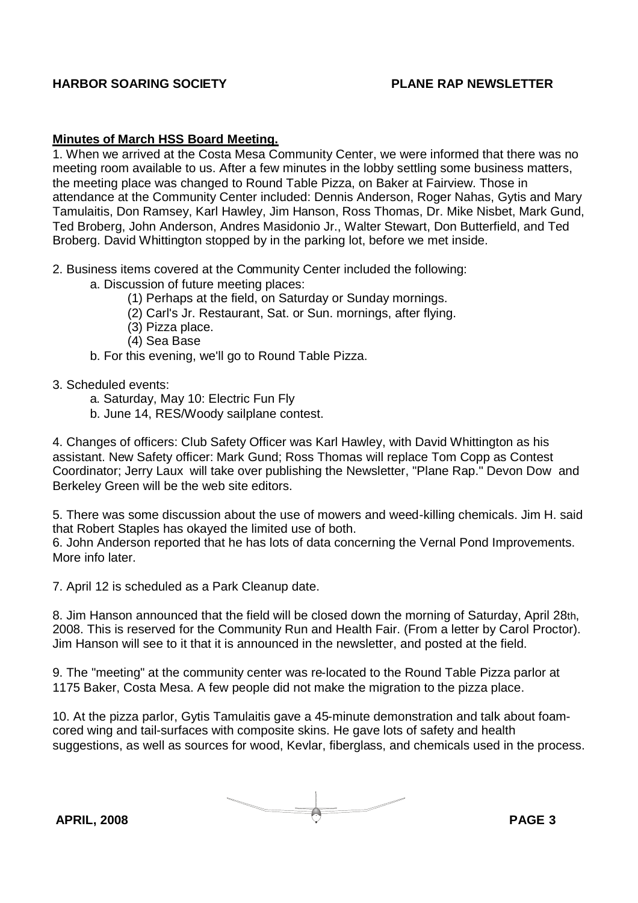#### **Minutes of March HSS Board Meeting.**

1. When we arrived at the Costa Mesa Community Center, we were informed that there was no meeting room available to us. After a few minutes in the lobby settling some business matters, the meeting place was changed to Round Table Pizza, on Baker at Fairview. Those in attendance at the Community Center included: Dennis Anderson, Roger Nahas, Gytis and Mary Tamulaitis, Don Ramsey, Karl Hawley, Jim Hanson, Ross Thomas, Dr. Mike Nisbet, Mark Gund, Ted Broberg, John Anderson, Andres Masidonio Jr., Walter Stewart, Don Butterfield, and Ted Broberg. David Whittington stopped by in the parking lot, before we met inside.

- 2. Business items covered at the Community Center included the following:
	- a. Discussion of future meeting places:
		- (1) Perhaps at the field, on Saturday or Sunday mornings.
		- (2) Carl's Jr. Restaurant, Sat. or Sun. mornings, after flying.
		- (3) Pizza place.
		- (4) Sea Base
	- b. For this evening, we'll go to Round Table Pizza.

#### 3. Scheduled events:

- a. Saturday, May 10: Electric Fun Fly
- b. June 14, RES/Woody sailplane contest.

4. Changes of officers: Club Safety Officer was Karl Hawley, with David Whittington as his assistant. New Safety officer: Mark Gund; Ross Thomas will replace Tom Copp as Contest Coordinator; Jerry Laux will take over publishing the Newsletter, "Plane Rap." Devon Dow and Berkeley Green will be the web site editors.

5. There was some discussion about the use of mowers and weed-killing chemicals. Jim H. said that Robert Staples has okayed the limited use of both.

6. John Anderson reported that he has lots of data concerning the Vernal Pond Improvements. More info later.

7. April 12 is scheduled as a Park Cleanup date.

8. Jim Hanson announced that the field will be closed down the morning of Saturday, April 28th, 2008. This is reserved for the Community Run and Health Fair. (From a letter by Carol Proctor). Jim Hanson will see to it that it is announced in the newsletter, and posted at the field.

9. The "meeting" at the community center was re-located to the Round Table Pizza parlor at 1175 Baker, Costa Mesa. A few people did not make the migration to the pizza place.

10. At the pizza parlor, Gytis Tamulaitis gave a 45-minute demonstration and talk about foamcored wing and tail-surfaces with composite skins. He gave lots of safety and health suggestions, as well as sources for wood, Kevlar, fiberglass, and chemicals used in the process.

**APRIL, 2008 PAGE 3**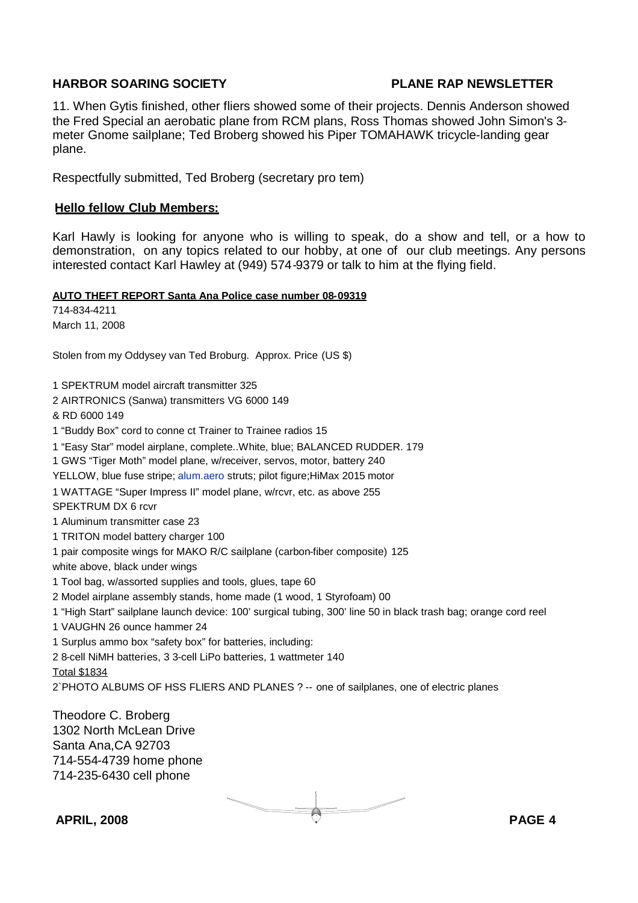11. When Gytis finished, other fliers showed some of their projects. Dennis Anderson showed the Fred Special an aerobatic plane from RCM plans, Ross Thomas showed John Simon's 3 meter Gnome sailplane; Ted Broberg showed his Piper TOMAHAWK tricycle-landing gear plane.

Respectfully submitted, Ted Broberg (secretary pro tem)

#### **Hello fellow Club Members:**

Karl Hawly is looking for anyone who is willing to speak, do a show and tell, or a how to demonstration, on any topics related to our hobby, at one of our club meetings. Any persons interested contact Karl Hawley at (949) 574-9379 or talk to him at the flying field.

**AUTO THEFT REPORT Santa Ana Police case number 08-09319**

714-834-4211 March 11, 2008

Stolen from my Oddysey van Ted Broburg. Approx. Price (US \$)

1 SPEKTRUM model aircraft transmitter 325 2 AIRTRONICS (Sanwa) transmitters VG 6000 149 & RD 6000 149 1 "Buddy Box" cord to conne ct Trainer to Trainee radios 15 1 "Easy Star" model airplane, complete..White, blue; BALANCED RUDDER. 179 1 GWS "Tiger Moth" model plane, w/receiver, servos, motor, battery 240 YELLOW, blue fuse stripe; alum.aero struts; pilot figure;HiMax 2015 motor 1 WATTAGE "Super Impress II" model plane, w/rcvr, etc. as above 255 SPEKTRUM DX 6 rcvr 1 Aluminum transmitter case 23 1 TRITON model battery charger 100 1 pair composite wings for MAKO R/C sailplane (carbon-fiber composite) 125 white above, black under wings 1 Tool bag, w/assorted supplies and tools, glues, tape 60 2 Model airplane assembly stands, home made (1 wood, 1 Styrofoam) 00 1 "High Start" sailplane launch device: 100' surgical tubing, 300' line 50 in black trash bag; orange cord reel 1 VAUGHN 26 ounce hammer 24 1 Surplus ammo box "safety box" for batteries, including: 2 8-cell NiMH batteries, 3 3-cell LiPo batteries, 1 wattmeter 140 Total \$1834 2`PHOTO ALBUMS OF HSS FLIERS AND PLANES ? -- one of sailplanes, one of electric planes

Theodore C. Broberg 1302 North McLean Drive Santa Ana,CA 92703 714-554-4739 home phone 714-235-6430 cell phone

**APRIL, 2008 PAGE 4**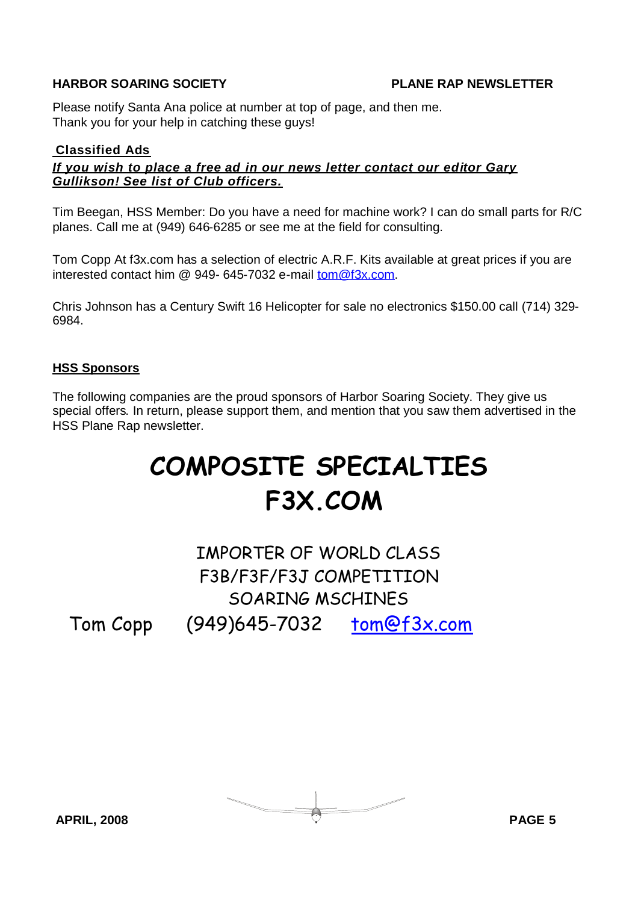Please notify Santa Ana police at number at top of page, and then me. Thank you for your help in catching these guys!

#### **Classified Ads**

#### *If you wish to place a free ad in our news letter contact our editor Gary Gullikson! See list of Club officers.*

Tim Beegan, HSS Member: Do you have a need for machine work? I can do small parts for R/C planes. Call me at (949) 646-6285 or see me at the field for consulting.

Tom Copp At f3x.com has a selection of electric A.R.F. Kits available at great prices if you are interested contact him @ 949- 645-7032 e-mail tom@f3x.com.

Chris Johnson has a Century Swift 16 Helicopter for sale no electronics \$150.00 call (714) 329- 6984.

#### **HSS Sponsors**

The following companies are the proud sponsors of Harbor Soaring Society. They give us special offers. In return, please support them, and mention that you saw them advertised in the HSS Plane Rap newsletter.

# **COMPOSITE SPECIALTIES F3X.COM**

## IMPORTER OF WORLD CLASS F3B/F3F/F3J COMPETITION SOARING MSCHINES

Tom Copp (949)645-7032 tom@f3x.com

$$
\overbrace{\hspace{1.5cm}} \text{APRIL, } 2008 \hspace{1.5cm} \text{PAGE 5}
$$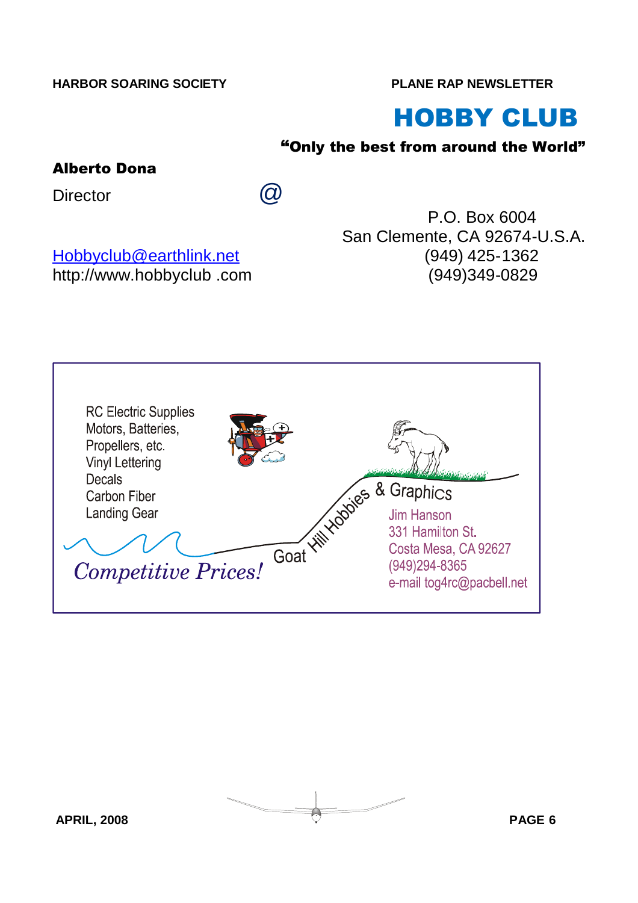# HOBBY CLUB

## "Only the best from around the World"

## Alberto Dona

Director  $\omega$ 

Hobbyclub@earthlink.net (949) 425-1362 http://www.hobbyclub .com (949)349-0829

P.O. Box 6004 San Clemente, CA 92674-U.S.A.

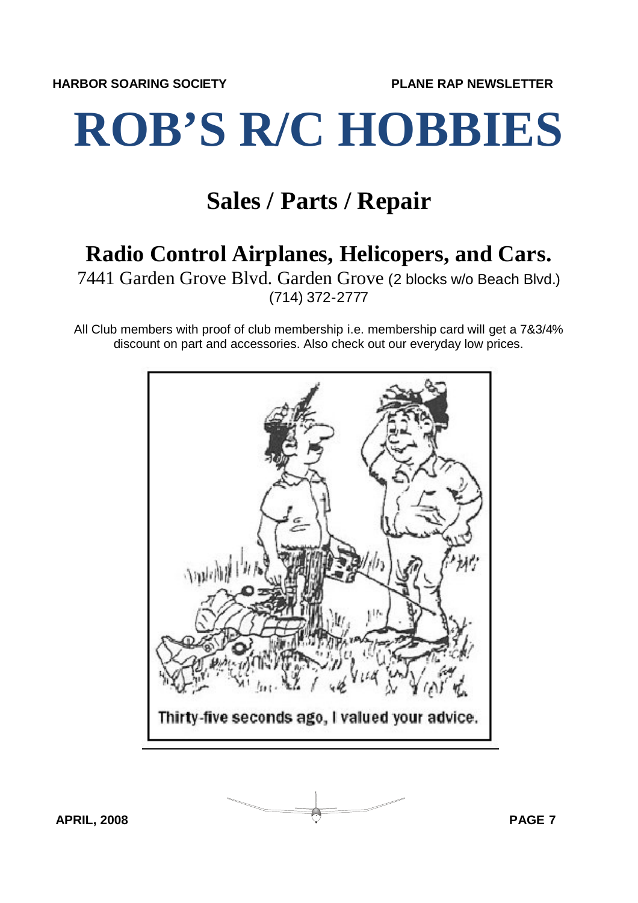# **ROB'S R/C HOBBIES**

## **Sales / Parts / Repair**

## **Radio Control Airplanes, Helicopers, and Cars.**

7441 Garden Grove Blvd. Garden Grove (2 blocks w/o Beach Blvd.) (714) 372-2777

All Club members with proof of club membership i.e. membership card will get a 7&3/4% discount on part and accessories. Also check out our everyday low prices.



**APRIL, 2008 PAGE 7**